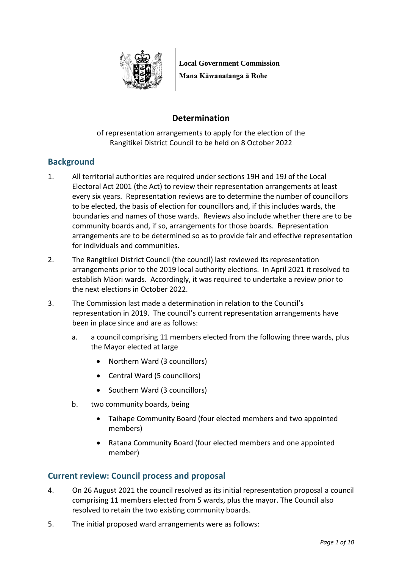

**Local Government Commission Mana Kāwanatanga ā Rohe**

# **Determination**

of representation arrangements to apply for the election of the Rangitikei District Council to be held on 8 October 2022

## **Background**

- 1. All territorial authorities are required under sections 19H and 19J of the Local Electoral Act 2001 (the Act) to review their representation arrangements at least every six years. Representation reviews are to determine the number of councillors to be elected, the basis of election for councillors and, if this includes wards, the boundaries and names of those wards. Reviews also include whether there are to be community boards and, if so, arrangements for those boards. Representation arrangements are to be determined so as to provide fair and effective representation for individuals and communities.
- 2. The Rangitikei District Council (the council) last reviewed its representation arrangements prior to the 2019 local authority elections. In April 2021 it resolved to establish Māori wards. Accordingly, it was required to undertake a review prior to the next elections in October 2022.
- 3. The Commission last made a determination in relation to the Council's representation in 2019. The council's current representation arrangements have been in place since and are as follows:
	- a. a council comprising 11 members elected from the following three wards, plus the Mayor elected at large
		- Northern Ward (3 councillors)
		- Central Ward (5 councillors)
		- Southern Ward (3 councillors)
	- b. two community boards, being
		- Taihape Community Board (four elected members and two appointed members)
		- Ratana Community Board (four elected members and one appointed member)

### **Current review: Council process and proposal**

- 4. On 26 August 2021 the council resolved as its initial representation proposal a council comprising 11 members elected from 5 wards, plus the mayor. The Council also resolved to retain the two existing community boards.
- 5. The initial proposed ward arrangements were as follows: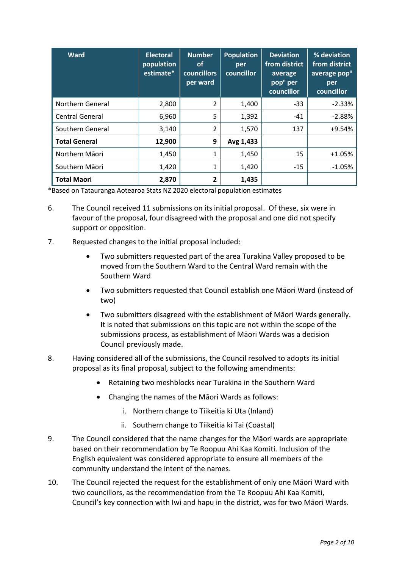| <b>Ward</b>            | <b>Electoral</b><br>population<br>estimate* | <b>Number</b><br><b>of</b><br>councillors<br>per ward | <b>Population</b><br>per<br>councillor | <b>Deviation</b><br>from district<br>average<br>pop <sup>n</sup> per<br>councillor | % deviation<br>from district<br>average pop <sup>n</sup><br>per<br>councillor |
|------------------------|---------------------------------------------|-------------------------------------------------------|----------------------------------------|------------------------------------------------------------------------------------|-------------------------------------------------------------------------------|
| Northern General       | 2,800                                       | 2                                                     | 1,400                                  | $-33$                                                                              | $-2.33%$                                                                      |
| <b>Central General</b> | 6,960                                       | 5                                                     | 1,392                                  | $-41$                                                                              | $-2.88%$                                                                      |
| Southern General       | 3,140                                       | $\overline{2}$                                        | 1,570                                  | 137                                                                                | $+9.54%$                                                                      |
| <b>Total General</b>   | 12,900                                      | 9                                                     | Avg 1,433                              |                                                                                    |                                                                               |
| Northern Māori         | 1,450                                       | 1                                                     | 1,450                                  | 15                                                                                 | $+1.05%$                                                                      |
| Southern Māori         | 1,420                                       | 1                                                     | 1,420                                  | $-15$                                                                              | $-1.05%$                                                                      |
| <b>Total Maori</b>     | 2,870                                       | $\overline{2}$                                        | 1,435                                  |                                                                                    |                                                                               |

\*Based on Tatauranga Aotearoa Stats NZ 2020 electoral population estimates

- 6. The Council received 11 submissions on its initial proposal. Of these, six were in favour of the proposal, four disagreed with the proposal and one did not specify support or opposition.
- 7. Requested changes to the initial proposal included:
	- Two submitters requested part of the area Turakina Valley proposed to be moved from the Southern Ward to the Central Ward remain with the Southern Ward
	- Two submitters requested that Council establish one Māori Ward (instead of two)
	- Two submitters disagreed with the establishment of Māori Wards generally. It is noted that submissions on this topic are not within the scope of the submissions process, as establishment of Māori Wards was a decision Council previously made.
- 8. Having considered all of the submissions, the Council resolved to adopts its initial proposal as its final proposal, subject to the following amendments:
	- Retaining two meshblocks near Turakina in the Southern Ward
	- Changing the names of the Māori Wards as follows:
		- i. Northern change to Tiikeitia ki Uta (Inland)
		- ii. Southern change to Tiikeitia ki Tai (Coastal)
- 9. The Council considered that the name changes for the Māori wards are appropriate based on their recommendation by Te Roopuu Ahi Kaa Komiti. Inclusion of the English equivalent was considered appropriate to ensure all members of the community understand the intent of the names.
- 10. The Council rejected the request for the establishment of only one Māori Ward with two councillors, as the recommendation from the Te Roopuu Ahi Kaa Komiti, Council's key connection with Iwi and hapu in the district, was for two Māori Wards.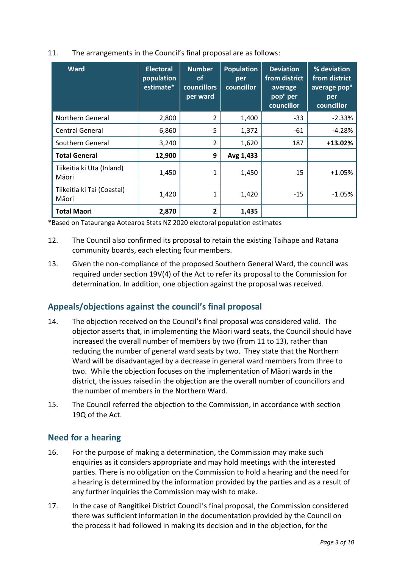| 11. | The arrangements in the Council's final proposal are as follows: |  |
|-----|------------------------------------------------------------------|--|
|     |                                                                  |  |

| <b>Ward</b>                         | <b>Electoral</b><br>population<br>estimate* | <b>Number</b><br><b>of</b><br>councillors<br>per ward | <b>Population</b><br>per<br>councillor | <b>Deviation</b><br>from district<br>average<br>pop <sup>n</sup> per<br>councillor | % deviation<br>from district<br>average pop <sup>n</sup><br>per<br>councillor |
|-------------------------------------|---------------------------------------------|-------------------------------------------------------|----------------------------------------|------------------------------------------------------------------------------------|-------------------------------------------------------------------------------|
| Northern General                    | 2,800                                       | 2                                                     | 1,400                                  | $-33$                                                                              | $-2.33%$                                                                      |
| <b>Central General</b>              | 6,860                                       | 5                                                     | 1,372                                  | -61                                                                                | $-4.28%$                                                                      |
| Southern General                    | 3,240                                       | $\overline{2}$                                        | 1,620                                  | 187                                                                                | $+13.02%$                                                                     |
| <b>Total General</b>                | 12,900                                      | 9                                                     | Avg 1,433                              |                                                                                    |                                                                               |
| Tiikeitia ki Uta (Inland)<br>Māori  | 1,450                                       | 1                                                     | 1,450                                  | 15                                                                                 | $+1.05%$                                                                      |
| Tiikeitia ki Tai (Coastal)<br>Māori | 1,420                                       | 1                                                     | 1,420                                  | $-15$                                                                              | $-1.05%$                                                                      |
| <b>Total Maori</b>                  | 2,870                                       | 2                                                     | 1,435                                  |                                                                                    |                                                                               |

\*Based on Tatauranga Aotearoa Stats NZ 2020 electoral population estimates

- 12. The Council also confirmed its proposal to retain the existing Taihape and Ratana community boards, each electing four members.
- 13. Given the non-compliance of the proposed Southern General Ward, the council was required under section 19V(4) of the Act to refer its proposal to the Commission for determination. In addition, one objection against the proposal was received.

## **Appeals/objections against the council's final proposal**

- 14. The objection received on the Council's final proposal was considered valid. The objector asserts that, in implementing the Māori ward seats, the Council should have increased the overall number of members by two (from 11 to 13), rather than reducing the number of general ward seats by two. They state that the Northern Ward will be disadvantaged by a decrease in general ward members from three to two. While the objection focuses on the implementation of Māori wards in the district, the issues raised in the objection are the overall number of councillors and the number of members in the Northern Ward.
- 15. The Council referred the objection to the Commission, in accordance with section 19Q of the Act.

### **Need for a hearing**

- 16. For the purpose of making a determination, the Commission may make such enquiries as it considers appropriate and may hold meetings with the interested parties. There is no obligation on the Commission to hold a hearing and the need for a hearing is determined by the information provided by the parties and as a result of any further inquiries the Commission may wish to make.
- 17. In the case of Rangitikei District Council's final proposal, the Commission considered there was sufficient information in the documentation provided by the Council on the process it had followed in making its decision and in the objection, for the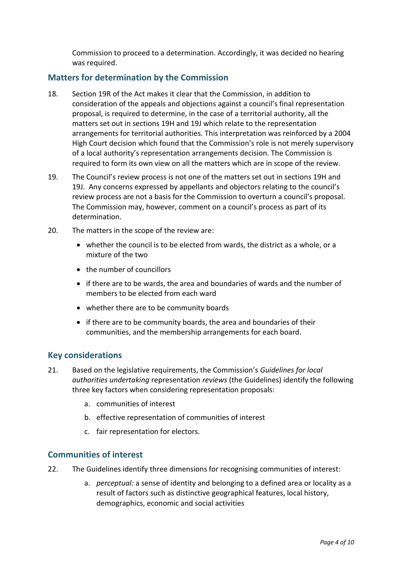Commission to proceed to a determination. Accordingly, it was decided no hearing was required.

### **Matters for determination by the Commission**

- 18. Section 19R of the Act makes it clear that the Commission, in addition to consideration of the appeals and objections against a council's final representation proposal, is required to determine, in the case of a territorial authority, all the matters set out in sections 19H and 19J which relate to the representation arrangements for territorial authorities. This interpretation was reinforced by a 2004 High Court decision which found that the Commission's role is not merely supervisory of a local authority's representation arrangements decision. The Commission is required to form its own view on all the matters which are in scope of the review.
- 19. The Council's review process is not one of the matters set out in sections 19H and 19J. Any concerns expressed by appellants and objectors relating to the council's review process are not a basis for the Commission to overturn a council's proposal. The Commission may, however, comment on a council's process as part of its determination.
- 20. The matters in the scope of the review are:
	- whether the council is to be elected from wards, the district as a whole, or a mixture of the two
	- the number of councillors
	- if there are to be wards, the area and boundaries of wards and the number of members to be elected from each ward
	- whether there are to be community boards
	- if there are to be community boards, the area and boundaries of their communities, and the membership arrangements for each board.

#### **Key considerations**

- 21. Based on the legislative requirements, the Commission's *Guidelines for local authorities undertaking* representation *reviews* (the Guidelines) identify the following three key factors when considering representation proposals:
	- a. communities of interest
	- b. effective representation of communities of interest
	- c. fair representation for electors.

#### **Communities of interest**

- 22. The Guidelines identify three dimensions for recognising communities of interest:
	- a. *perceptual:* a sense of identity and belonging to a defined area or locality as a result of factors such as distinctive geographical features, local history, demographics, economic and social activities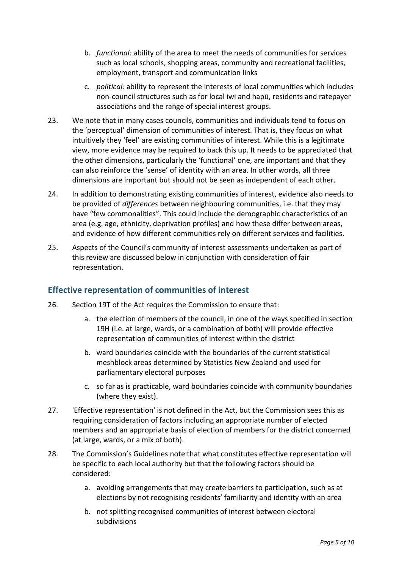- b. *functional:* ability of the area to meet the needs of communities for services such as local schools, shopping areas, community and recreational facilities, employment, transport and communication links
- c. *political:* ability to represent the interests of local communities which includes non-council structures such as for local iwi and hapū, residents and ratepayer associations and the range of special interest groups.
- 23. We note that in many cases councils, communities and individuals tend to focus on the 'perceptual' dimension of communities of interest. That is, they focus on what intuitively they 'feel' are existing communities of interest. While this is a legitimate view, more evidence may be required to back this up. It needs to be appreciated that the other dimensions, particularly the 'functional' one, are important and that they can also reinforce the 'sense' of identity with an area. In other words, all three dimensions are important but should not be seen as independent of each other.
- 24. In addition to demonstrating existing communities of interest, evidence also needs to be provided of *differences* between neighbouring communities, i.e. that they may have "few commonalities". This could include the demographic characteristics of an area (e.g. age, ethnicity, deprivation profiles) and how these differ between areas, and evidence of how different communities rely on different services and facilities.
- 25. Aspects of the Council's community of interest assessments undertaken as part of this review are discussed below in conjunction with consideration of fair representation.

### **Effective representation of communities of interest**

- 26. Section 19T of the Act requires the Commission to ensure that:
	- a. the election of members of the council, in one of the ways specified in section 19H (i.e. at large, wards, or a combination of both) will provide effective representation of communities of interest within the district
	- b. ward boundaries coincide with the boundaries of the current statistical meshblock areas determined by Statistics New Zealand and used for parliamentary electoral purposes
	- c. so far as is practicable, ward boundaries coincide with community boundaries (where they exist).
- 27. 'Effective representation' is not defined in the Act, but the Commission sees this as requiring consideration of factors including an appropriate number of elected members and an appropriate basis of election of members for the district concerned (at large, wards, or a mix of both).
- 28. The Commission's Guidelines note that what constitutes effective representation will be specific to each local authority but that the following factors should be considered:
	- a. avoiding arrangements that may create barriers to participation, such as at elections by not recognising residents' familiarity and identity with an area
	- b. not splitting recognised communities of interest between electoral subdivisions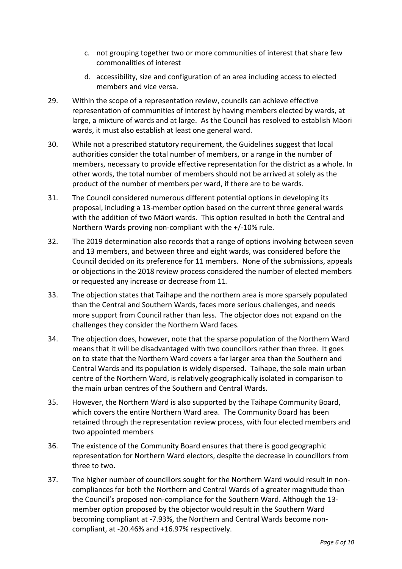- c. not grouping together two or more communities of interest that share few commonalities of interest
- d. accessibility, size and configuration of an area including access to elected members and vice versa.
- 29. Within the scope of a representation review, councils can achieve effective representation of communities of interest by having members elected by wards, at large, a mixture of wards and at large. As the Council has resolved to establish Māori wards, it must also establish at least one general ward.
- 30. While not a prescribed statutory requirement, the Guidelines suggest that local authorities consider the total number of members, or a range in the number of members, necessary to provide effective representation for the district as a whole. In other words, the total number of members should not be arrived at solely as the product of the number of members per ward, if there are to be wards.
- 31. The Council considered numerous different potential options in developing its proposal, including a 13-member option based on the current three general wards with the addition of two Māori wards. This option resulted in both the Central and Northern Wards proving non-compliant with the +/-10% rule.
- 32. The 2019 determination also records that a range of options involving between seven and 13 members, and between three and eight wards, was considered before the Council decided on its preference for 11 members. None of the submissions, appeals or objections in the 2018 review process considered the number of elected members or requested any increase or decrease from 11.
- 33. The objection states that Taihape and the northern area is more sparsely populated than the Central and Southern Wards, faces more serious challenges, and needs more support from Council rather than less. The objector does not expand on the challenges they consider the Northern Ward faces.
- 34. The objection does, however, note that the sparse population of the Northern Ward means that it will be disadvantaged with two councillors rather than three. It goes on to state that the Northern Ward covers a far larger area than the Southern and Central Wards and its population is widely dispersed. Taihape, the sole main urban centre of the Northern Ward, is relatively geographically isolated in comparison to the main urban centres of the Southern and Central Wards.
- 35. However, the Northern Ward is also supported by the Taihape Community Board, which covers the entire Northern Ward area. The Community Board has been retained through the representation review process, with four elected members and two appointed members
- 36. The existence of the Community Board ensures that there is good geographic representation for Northern Ward electors, despite the decrease in councillors from three to two.
- 37. The higher number of councillors sought for the Northern Ward would result in noncompliances for both the Northern and Central Wards of a greater magnitude than the Council's proposed non-compliance for the Southern Ward. Although the 13 member option proposed by the objector would result in the Southern Ward becoming compliant at -7.93%, the Northern and Central Wards become noncompliant, at -20.46% and +16.97% respectively.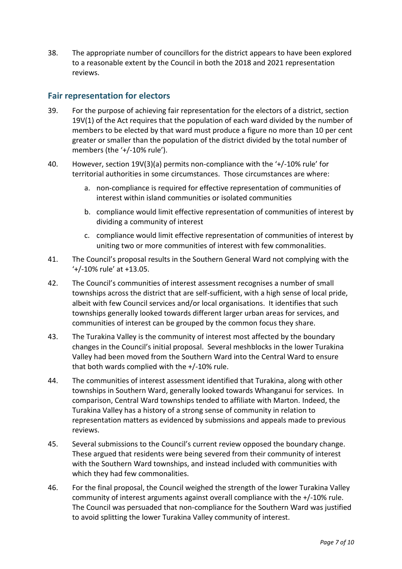38. The appropriate number of councillors for the district appears to have been explored to a reasonable extent by the Council in both the 2018 and 2021 representation reviews.

### **Fair representation for electors**

- 39. For the purpose of achieving fair representation for the electors of a district, section 19V(1) of the Act requires that the population of each ward divided by the number of members to be elected by that ward must produce a figure no more than 10 per cent greater or smaller than the population of the district divided by the total number of members (the '+/-10% rule').
- 40. However, section 19V(3)(a) permits non-compliance with the '+/-10% rule' for territorial authorities in some circumstances. Those circumstances are where:
	- a. non-compliance is required for effective representation of communities of interest within island communities or isolated communities
	- b. compliance would limit effective representation of communities of interest by dividing a community of interest
	- c. compliance would limit effective representation of communities of interest by uniting two or more communities of interest with few commonalities.
- 41. The Council's proposal results in the Southern General Ward not complying with the '+/-10% rule' at +13.05.
- 42. The Council's communities of interest assessment recognises a number of small townships across the district that are self-sufficient, with a high sense of local pride, albeit with few Council services and/or local organisations. It identifies that such townships generally looked towards different larger urban areas for services, and communities of interest can be grouped by the common focus they share.
- 43. The Turakina Valley is the community of interest most affected by the boundary changes in the Council's initial proposal. Several meshblocks in the lower Turakina Valley had been moved from the Southern Ward into the Central Ward to ensure that both wards complied with the +/-10% rule.
- 44. The communities of interest assessment identified that Turakina, along with other townships in Southern Ward, generally looked towards Whanganui for services. In comparison, Central Ward townships tended to affiliate with Marton. Indeed, the Turakina Valley has a history of a strong sense of community in relation to representation matters as evidenced by submissions and appeals made to previous reviews.
- 45. Several submissions to the Council's current review opposed the boundary change. These argued that residents were being severed from their community of interest with the Southern Ward townships, and instead included with communities with which they had few commonalities.
- 46. For the final proposal, the Council weighed the strength of the lower Turakina Valley community of interest arguments against overall compliance with the +/-10% rule. The Council was persuaded that non-compliance for the Southern Ward was justified to avoid splitting the lower Turakina Valley community of interest.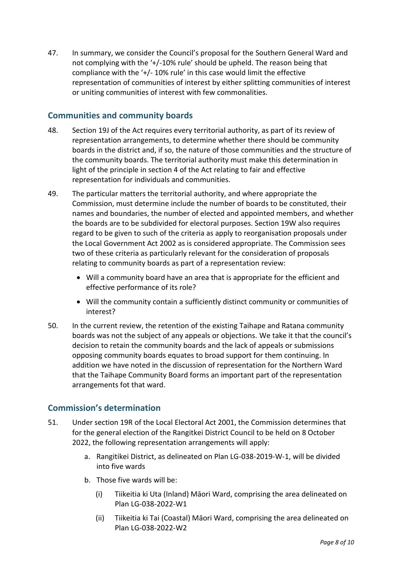47. In summary, we consider the Council's proposal for the Southern General Ward and not complying with the '+/-10% rule' should be upheld. The reason being that compliance with the '+/- 10% rule' in this case would limit the effective representation of communities of interest by either splitting communities of interest or uniting communities of interest with few commonalities.

### **Communities and community boards**

- 48. Section 19J of the Act requires every territorial authority, as part of its review of representation arrangements, to determine whether there should be community boards in the district and, if so, the nature of those communities and the structure of the community boards. The territorial authority must make this determination in light of the principle in section 4 of the Act relating to fair and effective representation for individuals and communities.
- 49. The particular matters the territorial authority, and where appropriate the Commission, must determine include the number of boards to be constituted, their names and boundaries, the number of elected and appointed members, and whether the boards are to be subdivided for electoral purposes. Section 19W also requires regard to be given to such of the criteria as apply to reorganisation proposals under the Local Government Act 2002 as is considered appropriate. The Commission sees two of these criteria as particularly relevant for the consideration of proposals relating to community boards as part of a representation review:
	- Will a community board have an area that is appropriate for the efficient and effective performance of its role?
	- Will the community contain a sufficiently distinct community or communities of interest?
- 50. In the current review, the retention of the existing Taihape and Ratana community boards was not the subject of any appeals or objections. We take it that the council's decision to retain the community boards and the lack of appeals or submissions opposing community boards equates to broad support for them continuing. In addition we have noted in the discussion of representation for the Northern Ward that the Taihape Community Board forms an important part of the representation arrangements fot that ward.

### **Commission's determination**

- 51. Under section 19R of the Local Electoral Act 2001, the Commission determines that for the general election of the Rangitkei District Council to be held on 8 October 2022, the following representation arrangements will apply:
	- a. Rangitikei District, as delineated on Plan LG-038-2019-W-1, will be divided into five wards
	- b. Those five wards will be:
		- (i) Tiikeitia ki Uta (Inland) Māori Ward, comprising the area delineated on Plan LG-038-2022-W1
		- (ii) Tiikeitia ki Tai (Coastal) Māori Ward, comprising the area delineated on Plan LG-038-2022-W2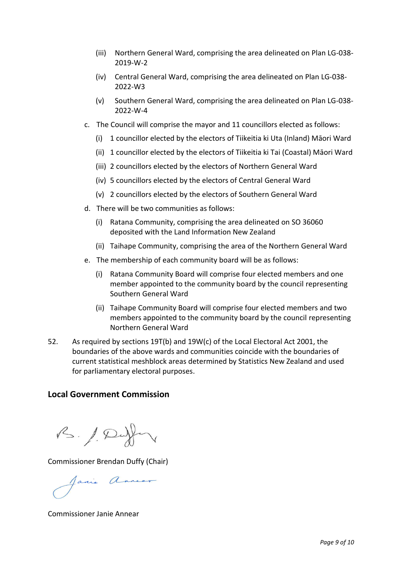- (iii) Northern General Ward, comprising the area delineated on Plan LG-038- 2019-W-2
- (iv) Central General Ward, comprising the area delineated on Plan LG-038- 2022-W3
- (v) Southern General Ward, comprising the area delineated on Plan LG-038- 2022-W-4
- c. The Council will comprise the mayor and 11 councillors elected as follows:
	- (i) 1 councillor elected by the electors of Tiikeitia ki Uta (Inland) Māori Ward
	- (ii) 1 councillor elected by the electors of Tiikeitia ki Tai (Coastal) Māori Ward
	- (iii) 2 councillors elected by the electors of Northern General Ward
	- (iv) 5 councillors elected by the electors of Central General Ward
	- (v) 2 councillors elected by the electors of Southern General Ward
- d. There will be two communities as follows:
	- (i) Ratana Community, comprising the area delineated on SO 36060 deposited with the Land Information New Zealand
	- (ii) Taihape Community, comprising the area of the Northern General Ward
- e. The membership of each community board will be as follows:
	- (i) Ratana Community Board will comprise four elected members and one member appointed to the community board by the council representing Southern General Ward
	- (ii) Taihape Community Board will comprise four elected members and two members appointed to the community board by the council representing Northern General Ward
- 52. As required by sections 19T(b) and 19W(c) of the Local Electoral Act 2001, the boundaries of the above wards and communities coincide with the boundaries of current statistical meshblock areas determined by Statistics New Zealand and used for parliamentary electoral purposes.

### **Local Government Commission**

B. / Duffer

Commissioner Brendan Duffy (Chair)

Janie Annear

Commissioner Janie Annear